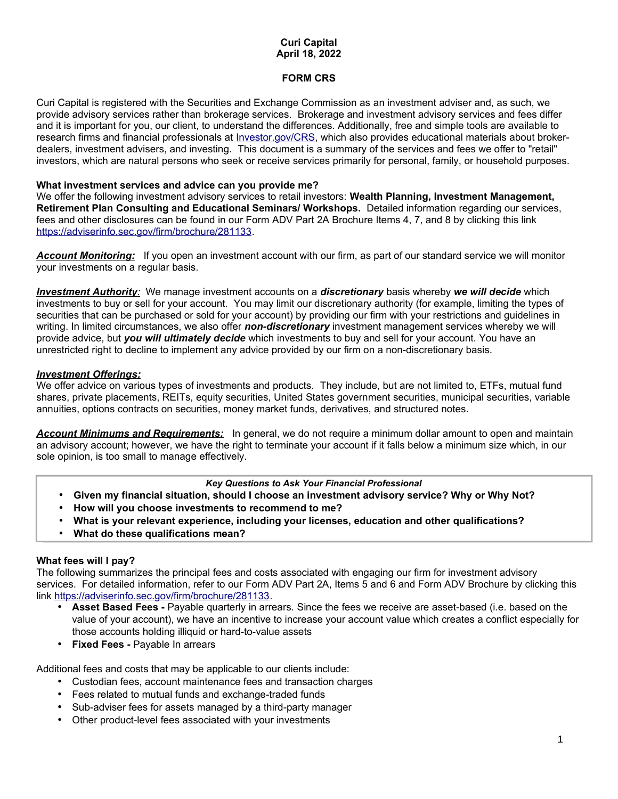## **Curi Capital April 18, 2022**

# **FORM CRS**

Curi Capital is registered with the Securities and Exchange Commission as an investment adviser and, as such, we provide advisory services rather than brokerage services. Brokerage and investment advisory services and fees differ and it is important for you, our client, to understand the differences. Additionally, free and simple tools are available to research firms and financial professionals at *Investor.gov/CRS*, which also provides educational materials about brokerdealers, investment advisers, and investing. This document is a summary of the services and fees we offer to "retail" investors, which are natural persons who seek or receive services primarily for personal, family, or household purposes.

#### **What investment services and advice can you provide me?**

We offer the following investment advisory services to retail investors: **Wealth Planning, Investment Management, Retirement Plan Consulting and Educational Seminars/ Workshops.** Detailed information regarding our services, fees and other disclosures can be found in our Form ADV Part 2A Brochure Items 4, 7, and 8 by clicking this link [https://adviserinfo.sec.gov/firm/brochure/281133.](https://adviserinfo.sec.gov/firm/brochure/281133)

*Account Monitoring:* If you open an investment account with our firm, as part of our standard service we will monitor your investments on a regular basis.

 *Investment Authority:* We manage investment accounts on a *discretionary* basis whereby *we will decide* which investments to buy or sell for your account. You may limit our discretionary authority (for example, limiting the types of securities that can be purchased or sold for your account) by providing our firm with your restrictions and guidelines in writing. In limited circumstances, we also offer *non-discretionary* investment management services whereby we will provide advice, but *you will ultimately decide* which investments to buy and sell for your account. You have an unrestricted right to decline to implement any advice provided by our firm on a non-discretionary basis.

## *Investment Offerings:*

We offer advice on various types of investments and products. They include, but are not limited to, ETFs, mutual fund shares, private placements, REITs, equity securities, United States government securities, municipal securities, variable annuities, options contracts on securities, money market funds, derivatives, and structured notes.

*Account Minimums and Requirements:* In general, we do not require a minimum dollar amount to open and maintain an advisory account; however, we have the right to terminate your account if it falls below a minimum size which, in our sole opinion, is too small to manage effectively.

#### *Key Questions to Ask Your Financial Professional*

- **Given my financial situation, should I choose an investment advisory service? Why or Why Not?**
- **How will you choose investments to recommend to me?**
- **What is your relevant experience, including your licenses, education and other qualifications?**
- **What do these qualifications mean?**

#### **What fees will I pay?**

The following summarizes the principal fees and costs associated with engaging our firm for investment advisory services. For detailed information, refer to our Form ADV Part 2A, Items 5 and 6 and Form ADV Brochure by clicking this link [https://adviserinfo.sec.gov/firm/brochure/281133.](https://adviserinfo.sec.gov/firm/brochure/281133)

- **Asset Based Fees -** Payable quarterly in arrears. Since the fees we receive are asset-based (i.e. based on the value of your account), we have an incentive to increase your account value which creates a conflict especially for those accounts holding illiquid or hard-to-value assets
- **Fixed Fees -** Payable In arrears

Additional fees and costs that may be applicable to our clients include:

- Custodian fees, account maintenance fees and transaction charges
- Fees related to mutual funds and exchange-traded funds
- Sub-adviser fees for assets managed by a third-party manager
- Other product-level fees associated with your investments